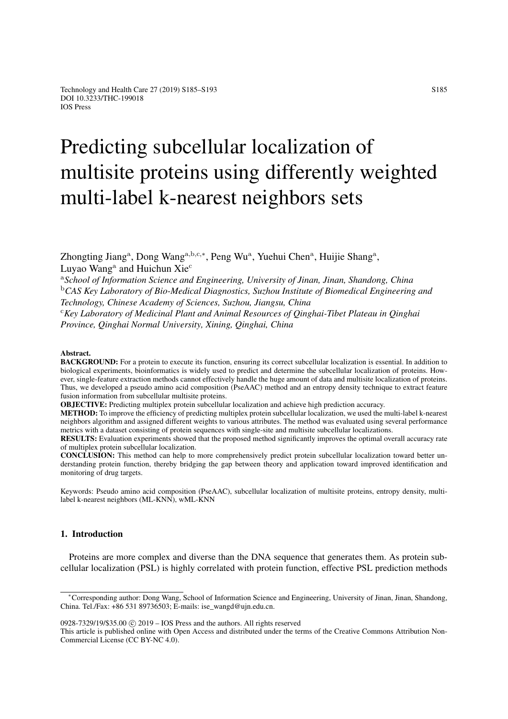# Predicting subcellular localization of multisite proteins using differently weighted multi-label k-nearest neighbors sets

Zhongting Jiang<sup>a</sup>, Dong Wang<sup>a,b,c,\*</sup>, Peng Wu<sup>a</sup>, Yuehui Chen<sup>a</sup>, Huijie Shang<sup>a</sup>, Luyao Wang<sup>a</sup> and Huichun Xie<sup>c</sup>

<sup>a</sup>*School of Information Science and Engineering, University of Jinan, Jinan, Shandong, China* <sup>b</sup>*CAS Key Laboratory of Bio-Medical Diagnostics, Suzhou Institute of Biomedical Engineering and Technology, Chinese Academy of Sciences, Suzhou, Jiangsu, China* <sup>c</sup>*Key Laboratory of Medicinal Plant and Animal Resources of Qinghai-Tibet Plateau in Qinghai Province, Qinghai Normal University, Xining, Qinghai, China*

#### Abstract.

BACKGROUND: For a protein to execute its function, ensuring its correct subcellular localization is essential. In addition to biological experiments, bioinformatics is widely used to predict and determine the subcellular localization of proteins. However, single-feature extraction methods cannot effectively handle the huge amount of data and multisite localization of proteins. Thus, we developed a pseudo amino acid composition (PseAAC) method and an entropy density technique to extract feature fusion information from subcellular multisite proteins.

OBJECTIVE: Predicting multiplex protein subcellular localization and achieve high prediction accuracy.

METHOD: To improve the efficiency of predicting multiplex protein subcellular localization, we used the multi-label k-nearest neighbors algorithm and assigned different weights to various attributes. The method was evaluated using several performance metrics with a dataset consisting of protein sequences with single-site and multisite subcellular localizations.

RESULTS: Evaluation experiments showed that the proposed method significantly improves the optimal overall accuracy rate of multiplex protein subcellular localization.

CONCLUSION: This method can help to more comprehensively predict protein subcellular localization toward better understanding protein function, thereby bridging the gap between theory and application toward improved identification and monitoring of drug targets.

Keywords: Pseudo amino acid composition (PseAAC), subcellular localization of multisite proteins, entropy density, multilabel k-nearest neighbors (ML-KNN), wML-KNN

## 1. Introduction

Proteins are more complex and diverse than the DNA sequence that generates them. As protein subcellular localization (PSL) is highly correlated with protein function, effective PSL prediction methods

0928-7329/19/\$35.00 c 2019 – IOS Press and the authors. All rights reserved

This article is published online with Open Access and distributed under the terms of the Creative Commons Attribution Non-Commercial License (CC BY-NC 4.0).

<sup>∗</sup>Corresponding author: Dong Wang, School of Information Science and Engineering, University of Jinan, Jinan, Shandong, China. Tel./Fax: +86 531 89736503; E-mails: ise\_wangd@ujn.edu.cn.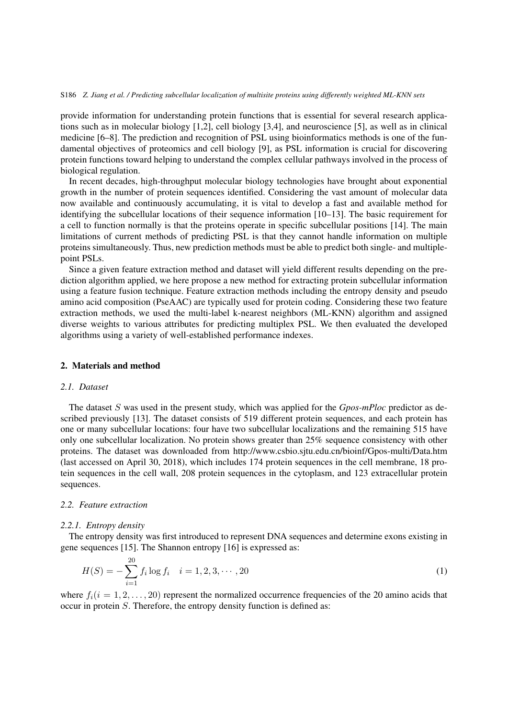#### S186 *Z. Jiang et al. / Predicting subcellular localization of multisite proteins using differently weighted ML-KNN sets*

provide information for understanding protein functions that is essential for several research applications such as in molecular biology [\[1](#page-7-0)[,2\]](#page-8-0), cell biology [\[3,](#page-8-1)[4\]](#page-8-2), and neuroscience [\[5\]](#page-8-3), as well as in clinical medicine [\[6–](#page-8-4)[8\]](#page-8-5). The prediction and recognition of PSL using bioinformatics methods is one of the fundamental objectives of proteomics and cell biology [\[9\]](#page-8-6), as PSL information is crucial for discovering protein functions toward helping to understand the complex cellular pathways involved in the process of biological regulation.

In recent decades, high-throughput molecular biology technologies have brought about exponential growth in the number of protein sequences identified. Considering the vast amount of molecular data now available and continuously accumulating, it is vital to develop a fast and available method for identifying the subcellular locations of their sequence information [\[10](#page-8-7)[–13\]](#page-8-8). The basic requirement for a cell to function normally is that the proteins operate in specific subcellular positions [\[14\]](#page-8-9). The main limitations of current methods of predicting PSL is that they cannot handle information on multiple proteins simultaneously. Thus, new prediction methods must be able to predict both single- and multiplepoint PSLs.

Since a given feature extraction method and dataset will yield different results depending on the prediction algorithm applied, we here propose a new method for extracting protein subcellular information using a feature fusion technique. Feature extraction methods including the entropy density and pseudo amino acid composition (PseAAC) are typically used for protein coding. Considering these two feature extraction methods, we used the multi-label k-nearest neighbors (ML-KNN) algorithm and assigned diverse weights to various attributes for predicting multiplex PSL. We then evaluated the developed algorithms using a variety of well-established performance indexes.

# 2. Materials and method

# *2.1. Dataset*

The dataset S was used in the present study, which was applied for the *Gpos-mPloc* predictor as described previously [\[13\]](#page-8-8). The dataset consists of 519 different protein sequences, and each protein has one or many subcellular locations: four have two subcellular localizations and the remaining 515 have only one subcellular localization. No protein shows greater than 25% sequence consistency with other proteins. The dataset was downloaded from http://www.csbio.sjtu.edu.cn/bioinf/Gpos-multi/Data.htm (last accessed on April 30, 2018), which includes 174 protein sequences in the cell membrane, 18 protein sequences in the cell wall, 208 protein sequences in the cytoplasm, and 123 extracellular protein sequences.

#### *2.2. Feature extraction*

#### *2.2.1. Entropy density*

The entropy density was first introduced to represent DNA sequences and determine exons existing in gene sequences [\[15\]](#page-8-10). The Shannon entropy [\[16\]](#page-8-11) is expressed as:

$$
H(S) = -\sum_{i=1}^{20} f_i \log f_i \quad i = 1, 2, 3, \cdots, 20
$$
 (1)

where  $f_i(i = 1, 2, \ldots, 20)$  represent the normalized occurrence frequencies of the 20 amino acids that occur in protein S. Therefore, the entropy density function is defined as: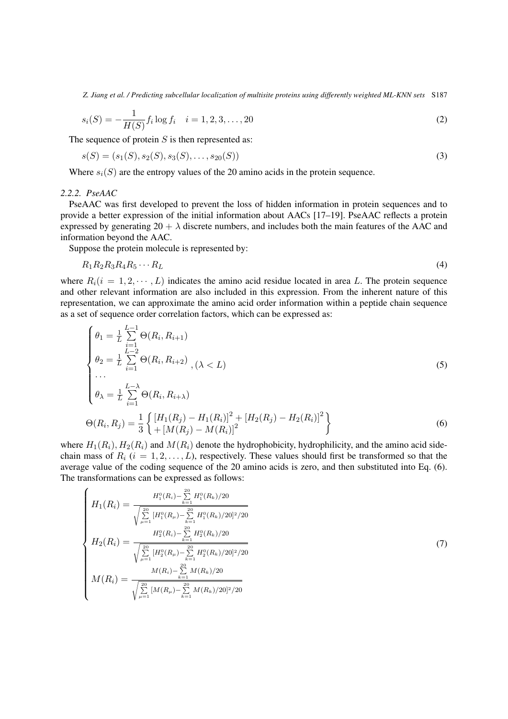*Z. Jiang et al. / Predicting subcellular localization of multisite proteins using differently weighted ML-KNN sets* S187

$$
s_i(S) = -\frac{1}{H(S)} f_i \log f_i \quad i = 1, 2, 3, \dots, 20
$$
\n(2)

The sequence of protein  $S$  is then represented as:

$$
s(S) = (s_1(S), s_2(S), s_3(S), \dots, s_{20}(S))
$$
\n<sup>(3)</sup>

Where  $s_i(S)$  are the entropy values of the 20 amino acids in the protein sequence.

# *2.2.2. PseAAC*

<span id="page-2-1"></span>Ń

PseAAC was first developed to prevent the loss of hidden information in protein sequences and to provide a better expression of the initial information about AACs [\[17](#page-8-12)[–19\]](#page-8-13). PseAAC reflects a protein expressed by generating  $20 + \lambda$  discrete numbers, and includes both the main features of the AAC and information beyond the AAC.

Suppose the protein molecule is represented by:

$$
R_1 R_2 R_3 R_4 R_5 \cdots R_L \tag{4}
$$

where  $R_i(i = 1, 2, \dots, L)$  indicates the amino acid residue located in area L. The protein sequence and other relevant information are also included in this expression. From the inherent nature of this representation, we can approximate the amino acid order information within a peptide chain sequence as a set of sequence order correlation factors, which can be expressed as:

<span id="page-2-0"></span>
$$
\begin{cases}\n\theta_1 = \frac{1}{L} \sum_{i=1}^{L-1} \Theta(R_i, R_{i+1}) \\
\theta_2 = \frac{1}{L} \sum_{i=1}^{L-2} \Theta(R_i, R_{i+2}) \\
\cdots \\
\theta_{\lambda} = \frac{1}{L} \sum_{i=1}^{L-\lambda} \Theta(R_i, R_{i+\lambda}) \\
\Theta(R_i, R_j) = \frac{1}{3} \left\{ \frac{[H_1(R_j) - H_1(R_i)]^2 + [H_2(R_j) - H_2(R_i)]^2}{[H_1(R_j) - M(R_i)]^2} \right\}\n\end{cases} (6)
$$

where  $H_1(R_i)$ ,  $H_2(R_i)$  and  $M(R_i)$  denote the hydrophobicity, hydrophilicity, and the amino acid sidechain mass of  $R_i$  ( $i = 1, 2, \ldots, L$ ), respectively. These values should first be transformed so that the average value of the coding sequence of the 20 amino acids is zero, and then substituted into Eq. [\(6\)](#page-2-0). The transformations can be expressed as follows:

$$
\begin{cases}\nH_1(R_i) = \frac{H_1^0(R_i) - \sum_{k=1}^{20} H_1^0(R_k)/20}{\sqrt{\sum_{\mu=1}^{20} [H_1^0(R_\mu) - \sum_{k=1}^{20} H_1^0(R_k)/20]^2/20}} \\
H_2(R_i) = \frac{H_2^0(R_i) - \sum_{k=1}^{20} H_2^0(R_k)/20}{\sqrt{\sum_{\mu=1}^{20} [H_2^0(R_\mu) - \sum_{k=1}^{20} H_2^0(R_k)/20]^2/20}} \\
M(R_i) = \frac{M(R_i) - \sum_{k=1}^{20} M(R_k)/20}{\sqrt{\sum_{\mu=1}^{20} [M(R_\mu) - \sum_{k=1}^{20} M(R_k)/20]^2/20}}\n\end{cases} \tag{7}
$$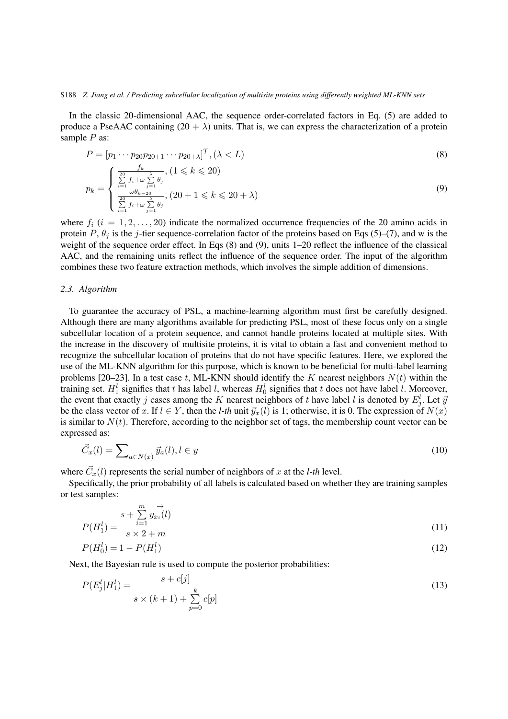#### S188 *Z. Jiang et al. / Predicting subcellular localization of multisite proteins using differently weighted ML-KNN sets*

In the classic 20-dimensional AAC, the sequence order-correlated factors in Eq. [\(5\)](#page-2-0) are added to produce a PseAAC containing  $(20 + \lambda)$  units. That is, we can express the characterization of a protein sample  $P$  as:

<span id="page-3-0"></span>
$$
P = [p_1 \cdots p_{20}p_{20+1} \cdots p_{20+\lambda}]^T, (\lambda < L)
$$
\n
$$
p_k = \begin{cases} \frac{f_k}{\sum\limits_{i=1}^{20} f_i + \omega \sum\limits_{j=1}^{\lambda} \theta_j}, (1 \leq k \leq 20) \\ \frac{\omega \theta_{k-20}}{\sum\limits_{i=1}^{20} f_i + \omega \sum\limits_{j=1}^{\lambda} \theta_j}, (20 + 1 \leq k \leq 20 + \lambda) \end{cases}
$$
\n(9)

where  $f_i$  ( $i = 1, 2, \ldots, 20$ ) indicate the normalized occurrence frequencies of the 20 amino acids in protein P,  $\theta_i$  is the j-tier sequence-correlation factor of the proteins based on Eqs [\(5\)](#page-2-0)–[\(7\)](#page-2-1), and w is the weight of the sequence order effect. In Eqs [\(8\)](#page-3-0) and [\(9\)](#page-3-0), units 1–20 reflect the influence of the classical AAC, and the remaining units reflect the influence of the sequence order. The input of the algorithm combines these two feature extraction methods, which involves the simple addition of dimensions.

# *2.3. Algorithm*

To guarantee the accuracy of PSL, a machine-learning algorithm must first be carefully designed. Although there are many algorithms available for predicting PSL, most of these focus only on a single subcellular location of a protein sequence, and cannot handle proteins located at multiple sites. With the increase in the discovery of multisite proteins, it is vital to obtain a fast and convenient method to recognize the subcellular location of proteins that do not have specific features. Here, we explored the use of the ML-KNN algorithm for this purpose, which is known to be beneficial for multi-label learning problems [\[20–](#page-8-14)[23\]](#page-8-15). In a test case t, ML-KNN should identify the K nearest neighbors  $N(t)$  within the training set.  $H_1^l$  signifies that t has label l, whereas  $H_0^l$  signifies that t does not have label l. Moreover, the event that exactly j cases among the K nearest neighbors of t have label l is denoted by  $E_j^l$ . Let  $\bar{y}$ be the class vector of x. If  $l \in Y$ , then the *l-th* unit  $\vec{y}_x(l)$  is 1; otherwise, it is 0. The expression of  $N(x)$ is similar to  $N(t)$ . Therefore, according to the neighbor set of tags, the membership count vector can be expressed as:

$$
\vec{C}_x(l) = \sum_{a \in N(x)} \vec{y}_a(l), l \in y \tag{10}
$$

where  $\vec{C}_x(l)$  represents the serial number of neighbors of x at the *l-th* level.

Specifically, the prior probability of all labels is calculated based on whether they are training samples or test samples:

$$
P(H_1^l) = \frac{s + \sum_{i=1}^{m} y_{x_i}(l)}{s \times 2 + m}
$$
\n(11)

$$
P(H_0^l) = 1 - P(H_1^l) \tag{12}
$$

Next, the Bayesian rule is used to compute the posterior probabilities:

$$
P(E_j^l | H_1^l) = \frac{s + c[j]}{s \times (k+1) + \sum_{p=0}^k c[p]} \tag{13}
$$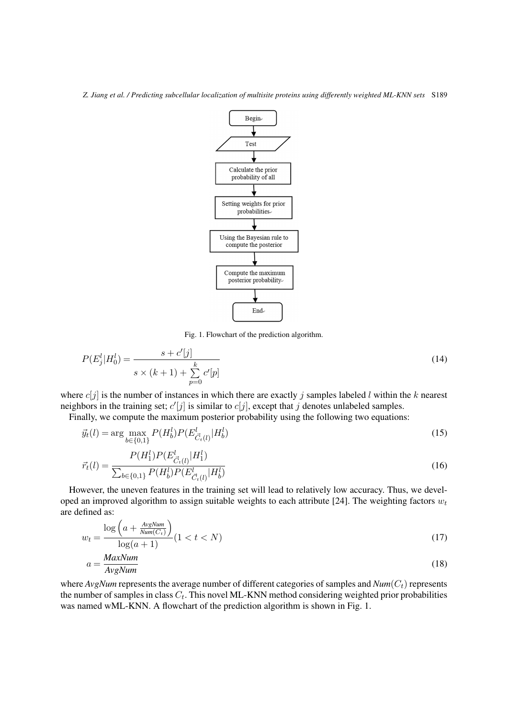

<span id="page-4-0"></span>Fig. 1. Flowchart of the prediction algorithm.

$$
P(E_j^l | H_0^l) = \frac{s + c'[j]}{s \times (k+1) + \sum_{p=0}^k c'[p]} \tag{14}
$$

where  $c[j]$  is the number of instances in which there are exactly j samples labeled l within the k nearest neighbors in the training set;  $c'[j]$  is similar to  $c[j]$ , except that j denotes unlabeled samples.

Finally, we compute the maximum posterior probability using the following two equations:

$$
\vec{y}_t(l) = \arg\max_{b \in \{0,1\}} P(H_b^l) P(E_{\vec{C}_t(l)}^l | H_b^l)
$$
\n(15)

$$
\vec{r}_t(l) = \frac{P(H_1^l)P(E_{\vec{C}_t(l)}^l|H_1^l)}{\sum_{b \in \{0,1\}} P(H_b^l)P(E_{\vec{C}_t(l)}^l|H_b^l)}
$$
(16)

However, the uneven features in the training set will lead to relatively low accuracy. Thus, we devel-oped an improved algorithm to assign suitable weights to each attribute [\[24\]](#page-8-16). The weighting factors  $w_t$ are defined as:

$$
w_t = \frac{\log\left(a + \frac{AvgNum}{Num(C_t)}\right)}{\log(a+1)} (1 < t < N)
$$
\n(17)

$$
a = \frac{MaxNum}{AvgNum} \tag{18}
$$

where  $AvgNum$  represents the average number of different categories of samples and  $Num(C_t)$  represents the number of samples in class  $C_t$ . This novel ML-KNN method considering weighted prior probabilities was named wML-KNN. A flowchart of the prediction algorithm is shown in Fig. [1.](#page-4-0)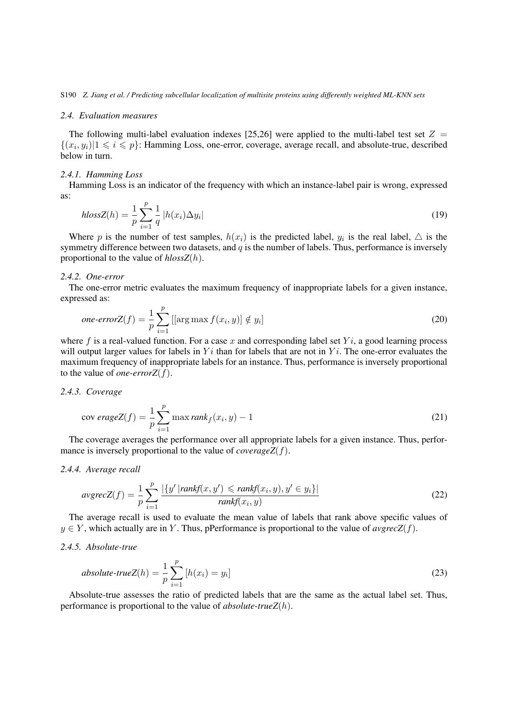#### *2.4. Evaluation measures*

The following multi-label evaluation indexes [\[25](#page-8-17)[,26\]](#page-8-18) were applied to the multi-label test set  $Z =$  $\{(x_i, y_i) | 1 \leq i \leq p\}$ : Hamming Loss, one-error, coverage, average recall, and absolute-true, described below in turn.

#### *2.4.1. Hamming Loss*

Hamming Loss is an indicator of the frequency with which an instance-label pair is wrong, expressed as:

$$
hlossZ(h) = \frac{1}{p} \sum_{i=1}^{p} \frac{1}{q} |h(x_i) \Delta y_i|
$$
\n(19)

Where p is the number of test samples,  $h(x_i)$  is the predicted label,  $y_i$  is the real label,  $\triangle$  is the symmetry difference between two datasets, and  $q$  is the number of labels. Thus, performance is inversely proportional to the value of *hlossZ*(h).

## *2.4.2. One-error*

The one-error metric evaluates the maximum frequency of inappropriate labels for a given instance, expressed as:

one-errorZ(f) = 
$$
\frac{1}{p} \sum_{i=1}^{p} [[\arg \max f(x_i, y)] \notin y_i]
$$
 (20)

where f is a real-valued function. For a case x and corresponding label set  $Y_i$ , a good learning process will output larger values for labels in  $Y_i$  than for labels that are not in  $Y_i$ . The one-error evaluates the maximum frequency of inappropriate labels for an instance. Thus, performance is inversely proportional to the value of *one-errorZ*(f).

## *2.4.3. Coverage*

$$
cov\,\text{erageZ}(f) = \frac{1}{p} \sum_{i=1}^{p} \max \text{rank}_{f}(x_i, y) - 1 \tag{21}
$$

The coverage averages the performance over all appropriate labels for a given instance. Thus, performance is inversely proportional to the value of *coverageZ*(f).

#### *2.4.4. Average recall*

$$
avgrecZ(f) = \frac{1}{p} \sum_{i=1}^{p} \frac{|\{y' \mid rankf(x, y') \le rankf(x_i, y), y' \in y_i\}|}{rankf(x_i, y)}
$$
(22)

The average recall is used to evaluate the mean value of labels that rank above specific values of  $y \in Y$ , which actually are in Y. Thus, pPerformance is proportional to the value of *avgrecZ(f)*.

# *2.4.5. Absolute-true*

absolute-trueZ(h) = 
$$
\frac{1}{p} \sum_{i=1}^{p} [h(x_i) = y_i]
$$
 (23)

Absolute-true assesses the ratio of predicted labels that are the same as the actual label set. Thus, performance is proportional to the value of *absolute-trueZ*(h).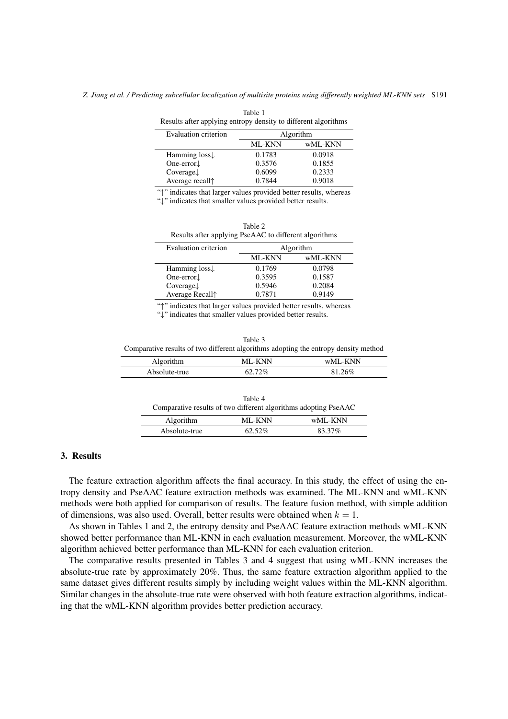<span id="page-6-0"></span>

| Results after applying entropy density to different algorithms |               |         |  |  |
|----------------------------------------------------------------|---------------|---------|--|--|
| Evaluation criterion                                           | Algorithm     |         |  |  |
|                                                                | <b>ML-KNN</b> | wML-KNN |  |  |
| Hamming $loss\downarrow$                                       | 0.1783        | 0.0918  |  |  |
| One-error $\downarrow$                                         | 0.3576        | 0.1855  |  |  |
| $Coverage \downarrow$                                          | 0.6099        | 0.2333  |  |  |
| Average recall <sup>*</sup>                                    | 0.7844        | 0.9018  |  |  |

Table 1

"↑" indicates that larger values provided better results, whereas

"↓" indicates that smaller values provided better results.

| Table 2                                               |
|-------------------------------------------------------|
| Results after applying PseAAC to different algorithms |
|                                                       |

<span id="page-6-1"></span>

|               | Algorithm |
|---------------|-----------|
| <b>ML-KNN</b> | wML-KNN   |
| 0.1769        | 0.0798    |
| 0.3595        | 0.1587    |
| 0.5946        | 0.2084    |
| 0.7871        | 0.9149    |
|               |           |

"↑" indicates that larger values provided better results, whereas "↓" indicates that smaller values provided better results.

<span id="page-6-2"></span>

| Table 3                                                                             |
|-------------------------------------------------------------------------------------|
| Comparative results of two different algorithms adopting the entropy density method |

| Algorithm     | MI "KNN | $W$ MI-KNN |
|---------------|---------|------------|
| Absolute-true | า 07    | 1601.      |

| Table 4<br>Comparative results of two different algorithms adopting PseAAC |           |         |  |  |
|----------------------------------------------------------------------------|-----------|---------|--|--|
| <b>Algorithm</b>                                                           | ML-KNN    | wML-KNN |  |  |
| Absolute-true                                                              | $62.52\%$ | 83.37%  |  |  |

# <span id="page-6-3"></span>3. Results

The feature extraction algorithm affects the final accuracy. In this study, the effect of using the entropy density and PseAAC feature extraction methods was examined. The ML-KNN and wML-KNN methods were both applied for comparison of results. The feature fusion method, with simple addition of dimensions, was also used. Overall, better results were obtained when  $k = 1$ .

As shown in Tables [1](#page-6-0) and [2,](#page-6-1) the entropy density and PseAAC feature extraction methods wML-KNN showed better performance than ML-KNN in each evaluation measurement. Moreover, the wML-KNN algorithm achieved better performance than ML-KNN for each evaluation criterion.

The comparative results presented in Tables [3](#page-6-2) and [4](#page-6-3) suggest that using wML-KNN increases the absolute-true rate by approximately 20%. Thus, the same feature extraction algorithm applied to the same dataset gives different results simply by including weight values within the ML-KNN algorithm. Similar changes in the absolute-true rate were observed with both feature extraction algorithms, indicating that the wML-KNN algorithm provides better prediction accuracy.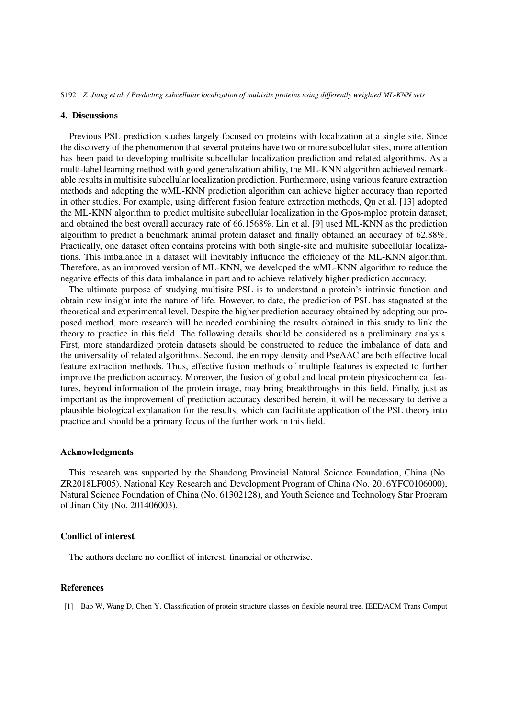S192 *Z. Jiang et al. / Predicting subcellular localization of multisite proteins using differently weighted ML-KNN sets*

#### 4. Discussions

Previous PSL prediction studies largely focused on proteins with localization at a single site. Since the discovery of the phenomenon that several proteins have two or more subcellular sites, more attention has been paid to developing multisite subcellular localization prediction and related algorithms. As a multi-label learning method with good generalization ability, the ML-KNN algorithm achieved remarkable results in multisite subcellular localization prediction. Furthermore, using various feature extraction methods and adopting the wML-KNN prediction algorithm can achieve higher accuracy than reported in other studies. For example, using different fusion feature extraction methods, Qu et al. [\[13\]](#page-8-8) adopted the ML-KNN algorithm to predict multisite subcellular localization in the Gpos-mploc protein dataset, and obtained the best overall accuracy rate of 66.1568%. Lin et al. [\[9\]](#page-8-6) used ML-KNN as the prediction algorithm to predict a benchmark animal protein dataset and finally obtained an accuracy of 62.88%. Practically, one dataset often contains proteins with both single-site and multisite subcellular localizations. This imbalance in a dataset will inevitably influence the efficiency of the ML-KNN algorithm. Therefore, as an improved version of ML-KNN, we developed the wML-KNN algorithm to reduce the negative effects of this data imbalance in part and to achieve relatively higher prediction accuracy.

The ultimate purpose of studying multisite PSL is to understand a protein's intrinsic function and obtain new insight into the nature of life. However, to date, the prediction of PSL has stagnated at the theoretical and experimental level. Despite the higher prediction accuracy obtained by adopting our proposed method, more research will be needed combining the results obtained in this study to link the theory to practice in this field. The following details should be considered as a preliminary analysis. First, more standardized protein datasets should be constructed to reduce the imbalance of data and the universality of related algorithms. Second, the entropy density and PseAAC are both effective local feature extraction methods. Thus, effective fusion methods of multiple features is expected to further improve the prediction accuracy. Moreover, the fusion of global and local protein physicochemical features, beyond information of the protein image, may bring breakthroughs in this field. Finally, just as important as the improvement of prediction accuracy described herein, it will be necessary to derive a plausible biological explanation for the results, which can facilitate application of the PSL theory into practice and should be a primary focus of the further work in this field.

## Acknowledgments

This research was supported by the Shandong Provincial Natural Science Foundation, China (No. ZR2018LF005), National Key Research and Development Program of China (No. 2016YFC0106000), Natural Science Foundation of China (No. 61302128), and Youth Science and Technology Star Program of Jinan City (No. 201406003).

# Conflict of interest

The authors declare no conflict of interest, financial or otherwise.

# References

<span id="page-7-0"></span>[1] Bao W, Wang D, Chen Y. Classification of protein structure classes on flexible neutral tree. IEEE/ACM Trans Comput